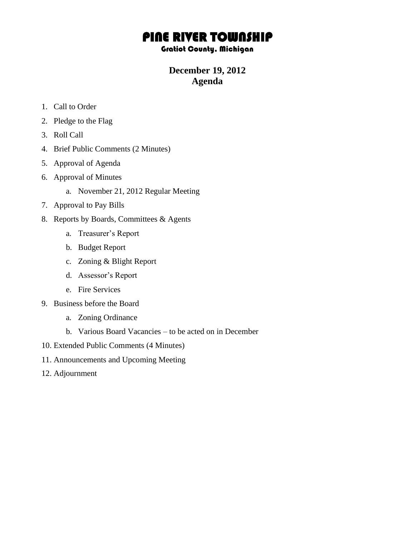## PINE RIVER TOWNSHIP

## Gratiot County, Michigan

## **December 19, 2012 Agenda**

- 1. Call to Order
- 2. Pledge to the Flag
- 3. Roll Call
- 4. Brief Public Comments (2 Minutes)
- 5. Approval of Agenda
- 6. Approval of Minutes
	- a. November 21, 2012 Regular Meeting
- 7. Approval to Pay Bills
- 8. Reports by Boards, Committees & Agents
	- a. Treasurer's Report
	- b. Budget Report
	- c. Zoning & Blight Report
	- d. Assessor's Report
	- e. Fire Services
- 9. Business before the Board
	- a. Zoning Ordinance
	- b. Various Board Vacancies to be acted on in December
- 10. Extended Public Comments (4 Minutes)
- 11. Announcements and Upcoming Meeting
- 12. Adjournment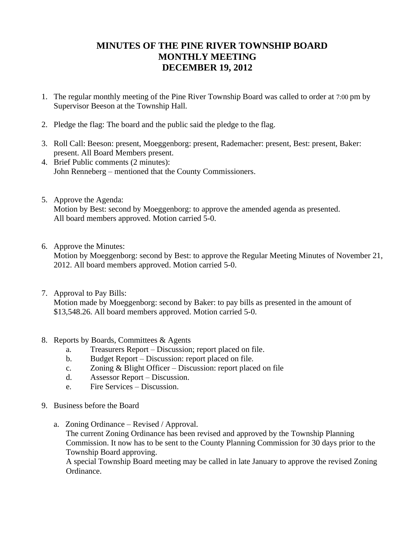## **MINUTES OF THE PINE RIVER TOWNSHIP BOARD MONTHLY MEETING DECEMBER 19, 2012**

- 1. The regular monthly meeting of the Pine River Township Board was called to order at 7:00 pm by Supervisor Beeson at the Township Hall.
- 2. Pledge the flag: The board and the public said the pledge to the flag.
- 3. Roll Call: Beeson: present, Moeggenborg: present, Rademacher: present, Best: present, Baker: present. All Board Members present.
- 4. Brief Public comments (2 minutes): John Renneberg – mentioned that the County Commissioners.
- 5. Approve the Agenda: Motion by Best: second by Moeggenborg: to approve the amended agenda as presented. All board members approved. Motion carried 5-0.
- 6. Approve the Minutes:

Motion by Moeggenborg: second by Best: to approve the Regular Meeting Minutes of November 21, 2012. All board members approved. Motion carried 5-0.

- 7. Approval to Pay Bills: Motion made by Moeggenborg: second by Baker: to pay bills as presented in the amount of \$13,548.26. All board members approved. Motion carried 5-0.
- 8. Reports by Boards, Committees & Agents
	- a. Treasurers Report Discussion; report placed on file.
	- b. Budget Report Discussion: report placed on file.
	- c. Zoning & Blight Officer Discussion: report placed on file
	- d. Assessor Report Discussion.
	- e. Fire Services Discussion.
- 9. Business before the Board
	- a. Zoning Ordinance Revised / Approval.

The current Zoning Ordinance has been revised and approved by the Township Planning Commission. It now has to be sent to the County Planning Commission for 30 days prior to the Township Board approving.

A special Township Board meeting may be called in late January to approve the revised Zoning Ordinance.